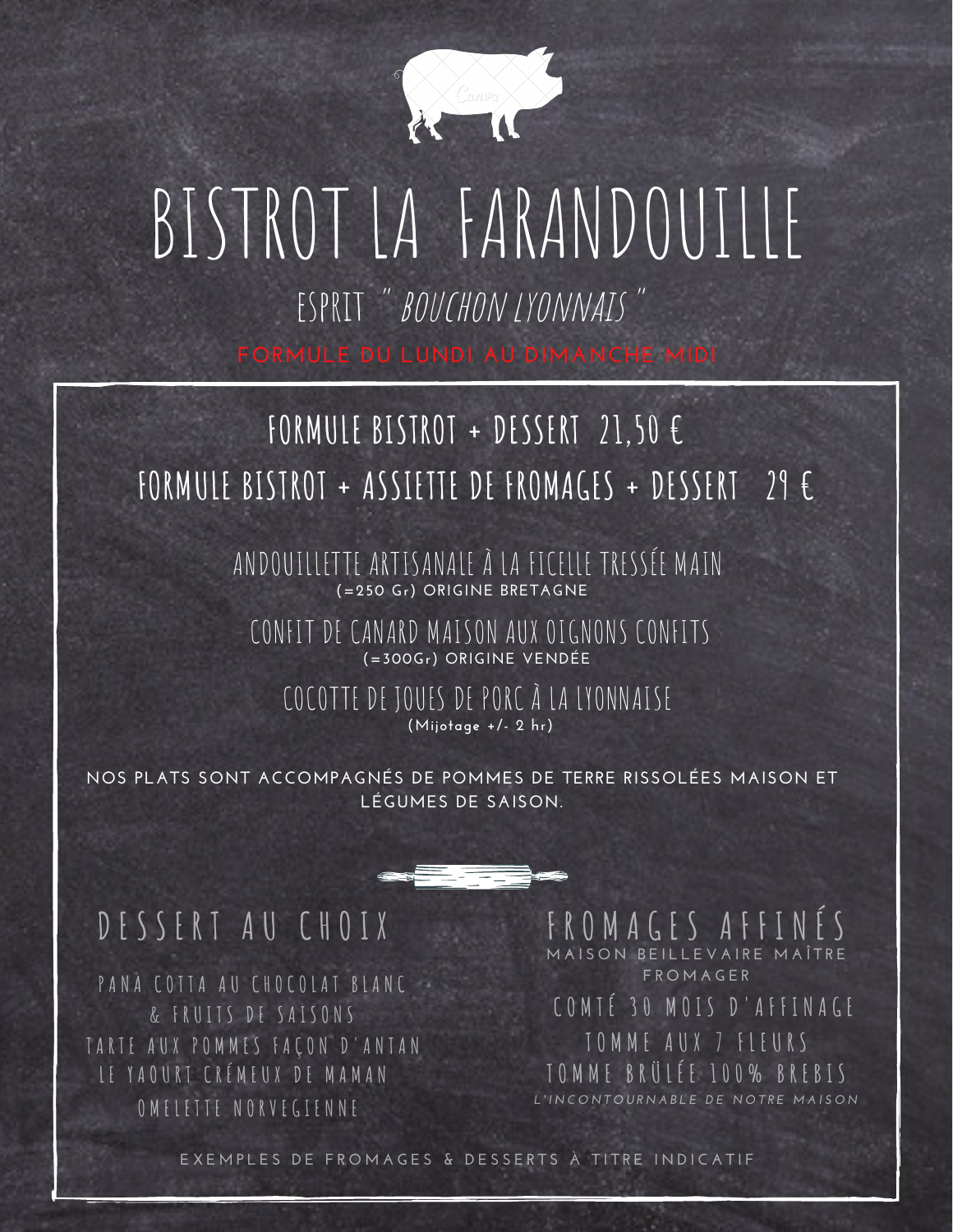

## BISTROT LA FARANDOUILLE esprit " bouchon lyonnais "

**FORMULE DU LUNDI AU DIMANCHE MIDI**

### **FORMULE BISTROT + DESSERT 21,50 € FORMULE BISTROT + ASSIETTE DE FROMAGES + DESSERT 29 €**

**(=250 Gr) ORIGINE BRETAGNE** ANDOUILLETTE ARTISANALE À LA FICELLE TRESSÉE MAIN

CONFIT DE CANARD MAISON AUX OIGNONS CONFITS **(=300Gr) ORIGINE VENDÉE**

COCOTTE DE JOUES DE PORC À LA LYONNAISE **(Mijotage +/- 2 hr)**

**NOS PLATS SONT ACCOMPAGNÉS DE POMMES DE TERRE RISSOLÉES MAISON ET LÉGUMES DE SAISON.**

#### DESSERT AU CHOIX FROMAGES AFFI

**O M E L E T T E N O R V E G I E N N E** TARTE AUX POMMES FACON D'ANTAN **L E Y A O U R T C R É M E U X D E M A M A N P A N A C O T T A A U C H O C O L A T B L A N C & F R U I T S D E S A I S O N S**

**M A I S O N B E I L L E V A I R E M A Î T R E F R O M A G E R**

**C O M T É 3 0 M O I S D ' A F F I N A G E T O M M E A U X 7 F L E U R S T O M M E B R Ü L É E 1 0 0 % B R E B I S** I 'INCONTOURNABLE DE NOTRE MAISON

EXEMPLES DE FROMAGES & DESSERTS À TITRE INDICATIF